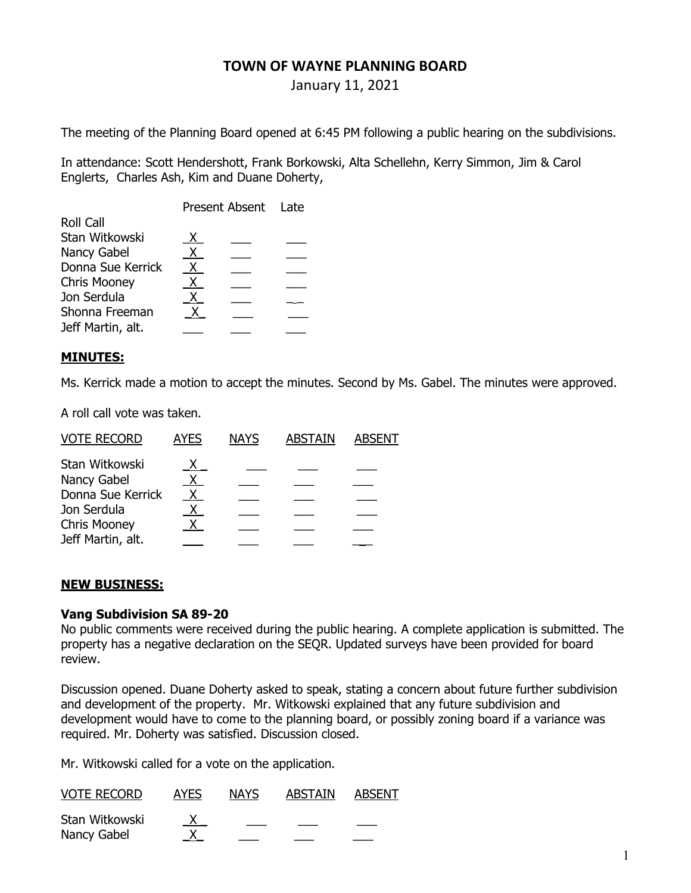# **TOWN OF WAYNE PLANNING BOARD**

January 11, 2021

The meeting of the Planning Board opened at 6:45 PM following a public hearing on the subdivisions.

In attendance: Scott Hendershott, Frank Borkowski, Alta Schellehn, Kerry Simmon, Jim & Carol Englerts, Charles Ash, Kim and Duane Doherty,

|                     | Present Absent Late |  |  |
|---------------------|---------------------|--|--|
| <b>Roll Call</b>    |                     |  |  |
| Stan Witkowski      | X.                  |  |  |
| Nancy Gabel         | X.                  |  |  |
| Donna Sue Kerrick   | X.                  |  |  |
| <b>Chris Mooney</b> | X.                  |  |  |
| Jon Serdula         | x.                  |  |  |
| Shonna Freeman      |                     |  |  |
| Jeff Martin, alt.   |                     |  |  |

## **MINUTES:**

Ms. Kerrick made a motion to accept the minutes. Second by Ms. Gabel. The minutes were approved.

A roll call vote was taken.

| <b>VOTE RECORD</b>  | <b>AYES</b>  | <b>NAYS</b> | <b>ABSTAIN</b> | <b>ABSENT</b> |
|---------------------|--------------|-------------|----------------|---------------|
| Stan Witkowski      | $\mathbf{X}$ |             |                |               |
| Nancy Gabel         | X            |             |                |               |
| Donna Sue Kerrick   | X.           |             |                |               |
| Jon Serdula         | Χ.           |             |                |               |
| <b>Chris Mooney</b> | X            |             |                |               |
| Jeff Martin, alt.   |              |             |                |               |

### **NEW BUSINESS:**

#### **Vang Subdivision SA 89-20**

No public comments were received during the public hearing. A complete application is submitted. The property has a negative declaration on the SEQR. Updated surveys have been provided for board review.

Discussion opened. Duane Doherty asked to speak, stating a concern about future further subdivision and development of the property. Mr. Witkowski explained that any future subdivision and development would have to come to the planning board, or possibly zoning board if a variance was required. Mr. Doherty was satisfied. Discussion closed.

Mr. Witkowski called for a vote on the application.

| <b>VOTE RECORD</b> | AYES | <b>NAYS</b> | <b>ABSTAIN</b> | <b>ABSENT</b> |
|--------------------|------|-------------|----------------|---------------|
| Stan Witkowski     |      |             |                |               |
| Nancy Gabel        |      |             |                |               |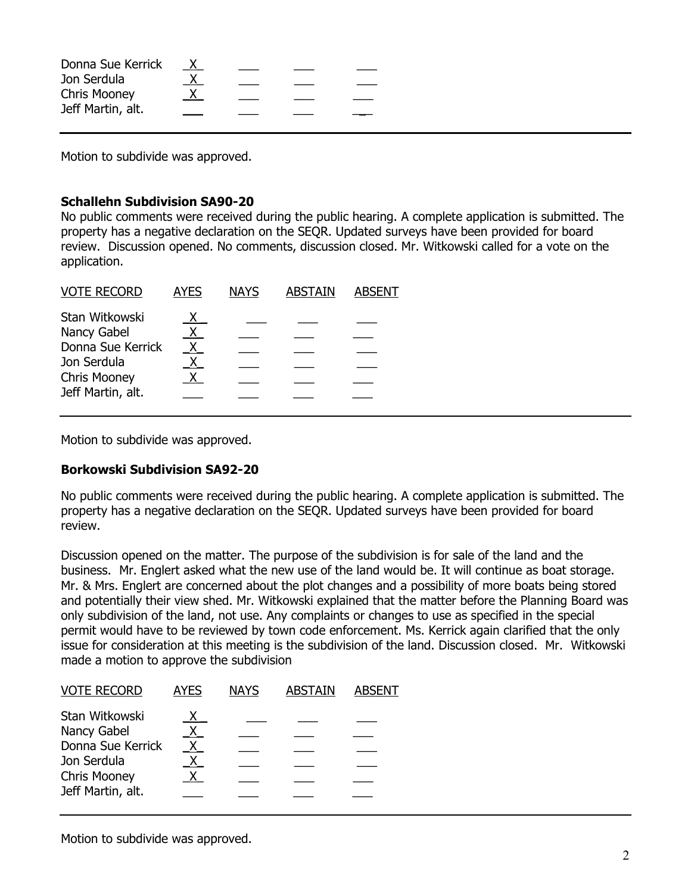| Donna Sue Kerrick   |                |  |  |
|---------------------|----------------|--|--|
| Jon Serdula         | $\overline{X}$ |  |  |
| <b>Chris Mooney</b> |                |  |  |
| Jeff Martin, alt.   |                |  |  |

Motion to subdivide was approved.

## **Schallehn Subdivision SA90-20**

No public comments were received during the public hearing. A complete application is submitted. The property has a negative declaration on the SEQR. Updated surveys have been provided for board review. Discussion opened. No comments, discussion closed. Mr. Witkowski called for a vote on the application.

| <b>VOTE RECORD</b>            | AYES    | <b>NAYS</b> | <b>ABSTAIN</b> | <b>ABSENT</b> |
|-------------------------------|---------|-------------|----------------|---------------|
| Stan Witkowski<br>Nancy Gabel |         |             |                |               |
| Donna Sue Kerrick             | $X_{-}$ |             |                |               |
| Jon Serdula                   |         |             |                |               |
| <b>Chris Mooney</b>           |         |             |                |               |
| Jeff Martin, alt.             |         |             |                |               |

Motion to subdivide was approved.

### **Borkowski Subdivision SA92-20**

No public comments were received during the public hearing. A complete application is submitted. The property has a negative declaration on the SEQR. Updated surveys have been provided for board review.

Discussion opened on the matter. The purpose of the subdivision is for sale of the land and the business. Mr. Englert asked what the new use of the land would be. It will continue as boat storage. Mr. & Mrs. Englert are concerned about the plot changes and a possibility of more boats being stored and potentially their view shed. Mr. Witkowski explained that the matter before the Planning Board was only subdivision of the land, not use. Any complaints or changes to use as specified in the special permit would have to be reviewed by town code enforcement. Ms. Kerrick again clarified that the only issue for consideration at this meeting is the subdivision of the land. Discussion closed. Mr. Witkowski made a motion to approve the subdivision

| <b>VOTE RECORD</b>               | <b>AYES</b>    | <b>NAYS</b> | <b>ABSTAIN</b> | <b>ABSENT</b> |
|----------------------------------|----------------|-------------|----------------|---------------|
| Stan Witkowski                   | $X_{\perp}$    |             |                |               |
| Nancy Gabel<br>Donna Sue Kerrick | <u>X</u><br>X. |             |                |               |
| Jon Serdula                      | X.             |             |                |               |
| <b>Chris Mooney</b>              |                |             |                |               |
| Jeff Martin, alt.                |                |             |                |               |

Motion to subdivide was approved.